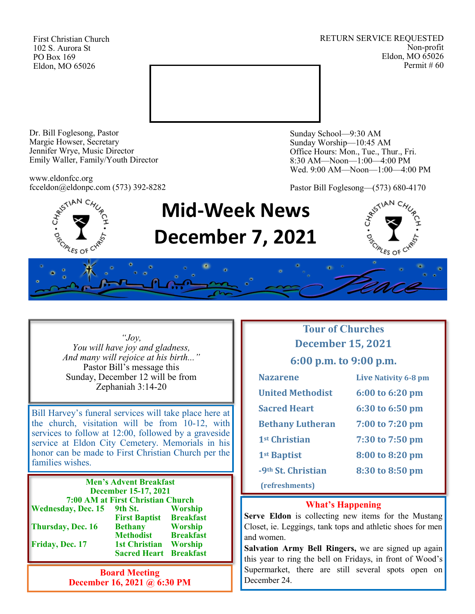First Christian Church 102 S. Aurora St PO Box 169 Eldon, MO 65026

RETURN SERVICE REQUESTED Non-profit Eldon, MO 65026 Permit # 60



Dr. Bill Foglesong, Pastor Margie Howser, Secretary Jennifer Wrye, Music Director Emily Waller, Family/Youth Director

www.eldonfcc.org fcceldon@eldonpc.com (573) 392-8282 Sunday School—9:30 AM Sunday Worship—10:45 AM Office Hours: Mon., Tue., Thur., Fri. 8:30 AM—Noon—1:00—4:00 PM Wed. 9:00 AM—Noon—1:00—4:00 PM

Pastor Bill Foglesong—(573) 680-4170



# **Mid-Week News December 7, 2021**



*"Joy, You will have joy and gladness, And many will rejoice at his birth..."* Pastor Bill's message this Sunday, December 12 will be from Zephaniah 3:14-20

Bill Harvey's funeral services will take place here at the church, visitation will be from 10-12, with services to follow at 12:00, followed by a graveside service at Eldon City Cemetery. Memorials in his honor can be made to First Christian Church per the families wishes.

**Men's Advent Breakfast December 15-17, 2021 7:00 AM at First Christian Church Wednesday, Dec. 15 9th St. Worship First Baptist Breakfast Thursday, Dec. 16 Bethany Worship Methodist Breakfast Friday, Dec. 17 1st Christian Worship Sacred Heart Breakfast**

> **Board Meeting December 16, 2021 @ 6:30 PM**

# **Tour of Churches December 15, 2021**

**6:00 p.m. to 9:00 p.m.**

| <b>Nazarene</b>                | Live Nativity 6-8 pm |
|--------------------------------|----------------------|
| <b>United Methodist</b>        | 6:00 to 6:20 pm      |
| <b>Sacred Heart</b>            | 6:30 to 6:50 pm      |
| <b>Bethany Lutheran</b>        | 7:00 to 7:20 pm      |
| 1 <sup>st</sup> Christian      | 7:30 to 7:50 pm      |
| 1 <sup>st</sup> Baptist        | 8:00 to 8:20 pm      |
| -9 <sup>th</sup> St. Christian | 8:30 to 8:50 pm      |
| (refreshments)                 |                      |

#### **What's Happening**

**Serve Eldon** is collecting new items for the Mustang Closet, ie. Leggings, tank tops and athletic shoes for men and women.

**Salvation Army Bell Ringers,** we are signed up again this year to ring the bell on Fridays, in front of Wood's Supermarket, there are still several spots open on December 24.